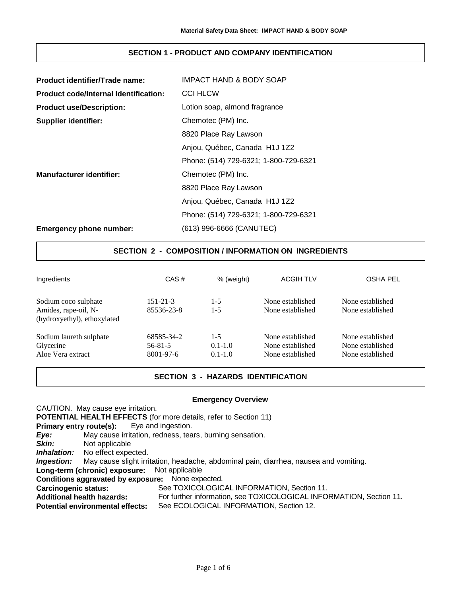# **SECTION 1 - PRODUCT AND COMPANY IDENTIFICATION**

| Product identifier/Trade name:               | IMPACT HAND & BODY SOAP               |
|----------------------------------------------|---------------------------------------|
| <b>Product code/Internal Identification:</b> | <b>CCI HLCW</b>                       |
| <b>Product use/Description:</b>              | Lotion soap, almond fragrance         |
| <b>Supplier identifier:</b>                  | Chemotec (PM) Inc.                    |
|                                              | 8820 Place Ray Lawson                 |
|                                              | Anjou, Québec, Canada H1J 1Z2         |
|                                              | Phone: (514) 729-6321; 1-800-729-6321 |
| <b>Manufacturer identifier:</b>              | Chemotec (PM) Inc.                    |
|                                              | 8820 Place Ray Lawson                 |
|                                              | Anjou, Québec, Canada H1J 1Z2         |
|                                              | Phone: (514) 729-6321; 1-800-729-6321 |
| <b>Emergency phone number:</b>               | (613) 996-6666 (CANUTEC)              |

# **SECTION 2 - COMPOSITION / INFORMATION ON INGREDIENTS**

| Ingredients                                                                 | CAS#                                     | % (weight)                            | <b>ACGIH TLV</b>                                         | <b>OSHA PEL</b>                                          |
|-----------------------------------------------------------------------------|------------------------------------------|---------------------------------------|----------------------------------------------------------|----------------------------------------------------------|
| Sodium coco sulphate<br>Amides, rape-oil, N-<br>(hydroxyethyl), ethoxylated | $151 - 21 - 3$<br>85536-23-8             | $1-5$<br>$1-5$                        | None established<br>None established                     | None established<br>None established                     |
| Sodium laureth sulphate<br>Glycerine<br>Aloe Vera extract                   | 68585-34-2<br>$56 - 81 - 5$<br>8001-97-6 | $1 - 5$<br>$0.1 - 1.0$<br>$0.1 - 1.0$ | None established<br>None established<br>None established | None established<br>None established<br>None established |

# **SECTION 3 - HAZARDS IDENTIFICATION**

## **Emergency Overview**

CAUTION. May cause eye irritation. **POTENTIAL HEALTH EFFECTS** (for more details, refer to Section 11) **Primary entry route(s):** Eye and ingestion. *Eye:* May cause irritation, redness, tears, burning sensation. **Skin:** Not applicable *Inhalation:* No effect expected. *Ingestion:* May cause slight irritation, headache, abdominal pain, diarrhea, nausea and vomiting. **Long-term (chronic) exposure:** Not applicable **Conditions aggravated by exposure:** None expected. **Carcinogenic status:** See TOXICOLOGICAL INFORMATION, Section 11. **Additional health hazards:** For further information, see TOXICOLOGICAL INFORMATION, Section 11. **Potential environmental effects:** See ECOLOGICAL INFORMATION, Section 12.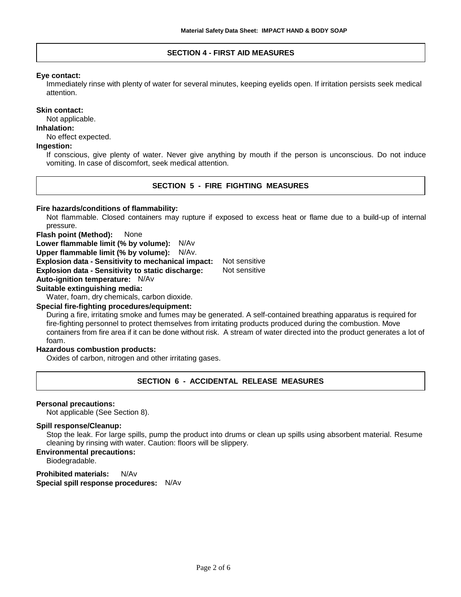### **SECTION 4 - FIRST AID MEASURES**

### **Eye contact:**

Immediately rinse with plenty of water for several minutes, keeping eyelids open. If irritation persists seek medical attention.

#### **Skin contact:**

Not applicable.

#### **Inhalation:**

No effect expected.

### **Ingestion:**

If conscious, give plenty of water. Never give anything by mouth if the person is unconscious. Do not induce vomiting. In case of discomfort, seek medical attention.

### **SECTION 5 - FIRE FIGHTING MEASURES**

#### **Fire hazards/conditions of flammability:**

Not flammable. Closed containers may rupture if exposed to excess heat or flame due to a build-up of internal pressure.

**Flash point (Method):** None

**Lower flammable limit (% by volume):** N/Av

**Upper flammable limit (% by volume):** N/Av.

**Explosion data - Sensitivity to mechanical impact:** Not sensitive

**Explosion data - Sensitivity to static discharge:** Not sensitive

## **Auto-ignition temperature:** N/Av

### **Suitable extinguishing media:**

Water, foam, dry chemicals, carbon dioxide.

#### **Special fire-fighting procedures/equipment:**

During a fire, irritating smoke and fumes may be generated. A self-contained breathing apparatus is required for fire-fighting personnel to protect themselves from irritating products produced during the combustion. Move containers from fire area if it can be done without risk. A stream of water directed into the product generates a lot of foam.

### **Hazardous combustion products:**

Oxides of carbon, nitrogen and other irritating gases.

# **SECTION 6 - ACCIDENTAL RELEASE MEASURES**

#### **Personal precautions:**

Not applicable (See Section 8).

#### **Spill response/Cleanup:**

Stop the leak. For large spills, pump the product into drums or clean up spills using absorbent material. Resume cleaning by rinsing with water. Caution: floors will be slippery.

### **Environmental precautions:**

Biodegradable.

**Prohibited materials:** N/Av **Special spill response procedures:** N/Av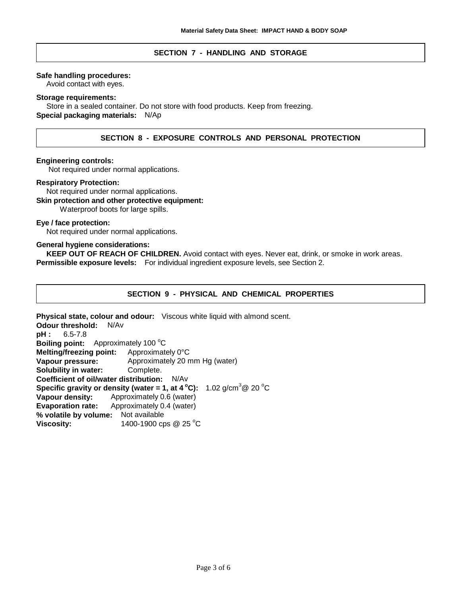## **SECTION 7 - HANDLING AND STORAGE**

### **Safe handling procedures:**

Avoid contact with eyes.

#### **Storage requirements:**

Store in a sealed container. Do not store with food products. Keep from freezing. **Special packaging materials:** N/Ap

# **SECTION 8 - EXPOSURE CONTROLS AND PERSONAL PROTECTION**

#### **Engineering controls:**

Not required under normal applications.

#### **Respiratory Protection:**

Not required under normal applications.

# **Skin protection and other protective equipment:**

Waterproof boots for large spills.

# **Eye / face protection:**

Not required under normal applications.

## **General hygiene considerations:**

**KEEP OUT OF REACH OF CHILDREN.** Avoid contact with eyes. Never eat, drink, or smoke in work areas. **Permissible exposure levels:** For individual ingredient exposure levels, see Section 2.

## **SECTION 9 - PHYSICAL AND CHEMICAL PROPERTIES**

**Physical state, colour and odour:** Viscous white liquid with almond scent. **Odour threshold:** N/Av **pH :** 6.5-7.8 **Boiling point:** Approximately 100 °C **Melting/freezing point:** Approximately 0°C **Vapour pressure:** Approximately 20 mm Hg (water) **Solubility in water:** Complete. **Coefficient of oil/water distribution:** N/Av **Specific gravity or density (water = 1, at 4**  $^{\circ}$ **C):** 1.02 g/cm<sup>3</sup> @ 20  $^{\circ}$ C **Vapour density:** Approximately 0.6 (water) **Evaporation rate:** Approximately 0.4 (water) **% volatile by volume:** Not available **Viscosity:** 1400-1900 cps @ 25 °C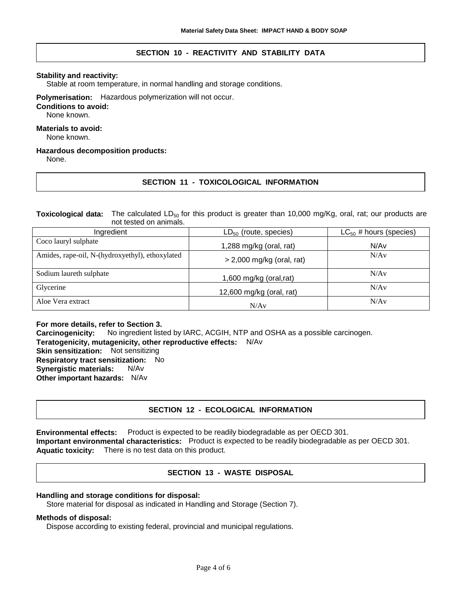# **SECTION 10 - REACTIVITY AND STABILITY DATA**

### **Stability and reactivity:**

Stable at room temperature, in normal handling and storage conditions.

### **Polymerisation:** Hazardous polymerization will not occur.

#### **Conditions to avoid:**

None known.

## **Materials to avoid:**

None known.

#### **Hazardous decomposition products:**

None.

# **SECTION 11 - TOXICOLOGICAL INFORMATION**

**Toxicological data:** The calculated LD<sub>50</sub> for this product is greater than 10,000 mg/Kg, oral, rat; our products are not tested on animals.

| Ingredient                                      | $LD_{50}$ (route, species)  | $LC_{50}$ # hours (species) |
|-------------------------------------------------|-----------------------------|-----------------------------|
| Coco lauryl sulphate                            | 1,288 mg/kg (oral, rat)     | N/Av                        |
| Amides, rape-oil, N-(hydroxyethyl), ethoxylated | $>$ 2,000 mg/kg (oral, rat) | N/Av                        |
| Sodium laureth sulphate                         | 1,600 mg/kg (oral, rat)     | N/Av                        |
| Glycerine                                       | 12,600 mg/kg (oral, rat)    | N/Av                        |
| Aloe Vera extract                               | N/Av                        | N/Av                        |

**For more details, refer to Section 3. Carcinogenicity:** No ingredient listed by IARC, ACGIH, NTP and OSHA as a possible carcinogen. **Teratogenicity, mutagenicity, other reproductive effects:** N/Av **Skin sensitization:** Not sensitizing **Respiratory tract sensitization:** No **Synergistic materials:** N/Av **Other important hazards:** N/Av

# **SECTION 12 - ECOLOGICAL INFORMATION**

**Environmental effects:** Product is expected to be readily biodegradable as per OECD 301. **Important environmental characteristics:** Product is expected to be readily biodegradable as per OECD 301. **Aquatic toxicity:** There is no test data on this product.

# **SECTION 13 - WASTE DISPOSAL**

### **Handling and storage conditions for disposal:**

Store material for disposal as indicated in Handling and Storage (Section 7).

### **Methods of disposal:**

Dispose according to existing federal, provincial and municipal regulations.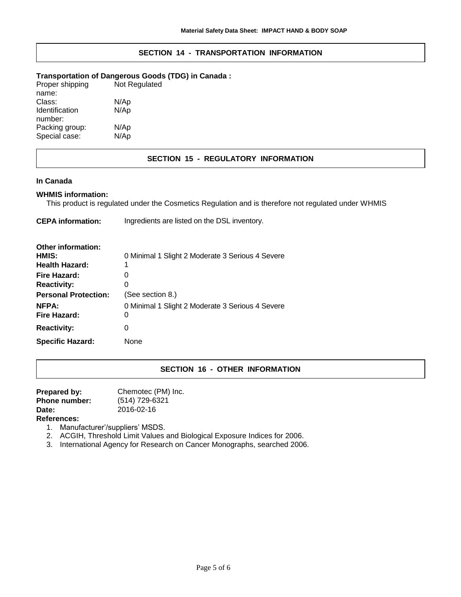# **SECTION 14 - TRANSPORTATION INFORMATION**

### **Transportation of Dangerous Goods (TDG) in Canada :**

| Proper shipping | Not Regulated |
|-----------------|---------------|
| name:           |               |
| Class:          | N/Ap          |
| Identification  | N/Ap          |
| number:         |               |
| Packing group:  | N/Ap          |
| Special case:   | N/Ap          |
|                 |               |

# **SECTION 15 - REGULATORY INFORMATION**

### **In Canada**

## **WHMIS information:**

This product is regulated under the Cosmetics Regulation and is therefore not regulated under WHMIS

| <b>CEPA</b> information:     | Ingredients are listed on the DSL inventory.          |
|------------------------------|-------------------------------------------------------|
| Other information:           |                                                       |
| HMIS:                        | 0 Minimal 1 Slight 2 Moderate 3 Serious 4 Severe      |
| <b>Health Hazard:</b>        |                                                       |
| Fire Hazard:                 |                                                       |
| <b>Reactivity:</b>           |                                                       |
| <b>Personal Protection:</b>  | (See section 8.)                                      |
| <b>NFPA:</b><br>Fire Hazard: | 0 Minimal 1 Slight 2 Moderate 3 Serious 4 Severe<br>O |
| <b>Reactivity:</b>           | O                                                     |
| <b>Specific Hazard:</b>      | None                                                  |

# **SECTION 16 - OTHER INFORMATION**

| Prepared by:         | Chemotec (PM) Inc. |
|----------------------|--------------------|
| <b>Phone number:</b> | (514) 729-6321     |
| Date:                | 2016-02-16         |
| <b>D.f</b>           |                    |

- **References:**
	- 1. Manufacturer'/suppliers' MSDS.
	- 2. ACGIH, Threshold Limit Values and Biological Exposure Indices for 2006.
	- 3. International Agency for Research on Cancer Monographs, searched 2006.